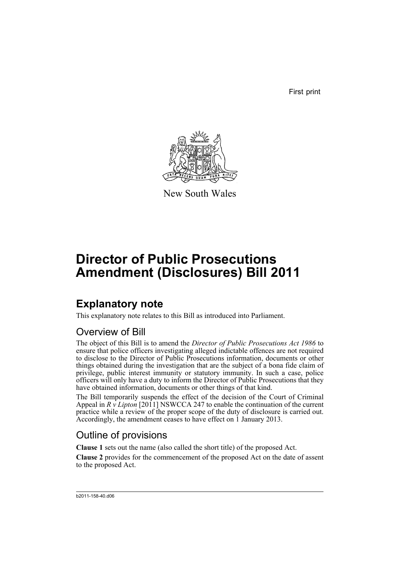First print



New South Wales

# **Director of Public Prosecutions Amendment (Disclosures) Bill 2011**

## **Explanatory note**

This explanatory note relates to this Bill as introduced into Parliament.

### Overview of Bill

The object of this Bill is to amend the *Director of Public Prosecutions Act 1986* to ensure that police officers investigating alleged indictable offences are not required to disclose to the Director of Public Prosecutions information, documents or other things obtained during the investigation that are the subject of a bona fide claim of privilege, public interest immunity or statutory immunity. In such a case, police officers will only have a duty to inform the Director of Public Prosecutions that they have obtained information, documents or other things of that kind.

The Bill temporarily suspends the effect of the decision of the Court of Criminal Appeal in *R v Lipton* [2011] NSWCCA 247 to enable the continuation of the current practice while a review of the proper scope of the duty of disclosure is carried out. Accordingly, the amendment ceases to have effect on 1 January 2013.

### Outline of provisions

**Clause 1** sets out the name (also called the short title) of the proposed Act.

**Clause 2** provides for the commencement of the proposed Act on the date of assent to the proposed Act.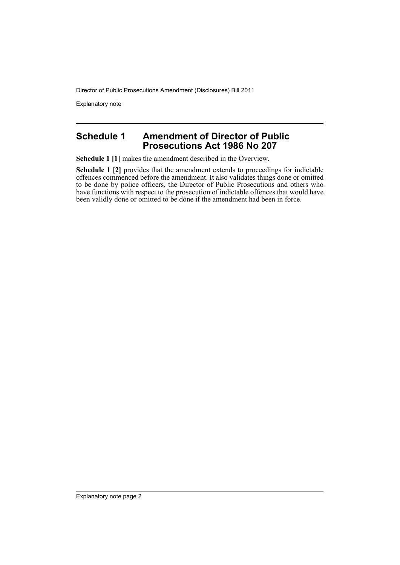Director of Public Prosecutions Amendment (Disclosures) Bill 2011

Explanatory note

### **Schedule 1 Amendment of Director of Public Prosecutions Act 1986 No 207**

**Schedule 1 [1]** makes the amendment described in the Overview.

**Schedule 1 [2]** provides that the amendment extends to proceedings for indictable offences commenced before the amendment. It also validates things done or omitted to be done by police officers, the Director of Public Prosecutions and others who have functions with respect to the prosecution of indictable offences that would have been validly done or omitted to be done if the amendment had been in force.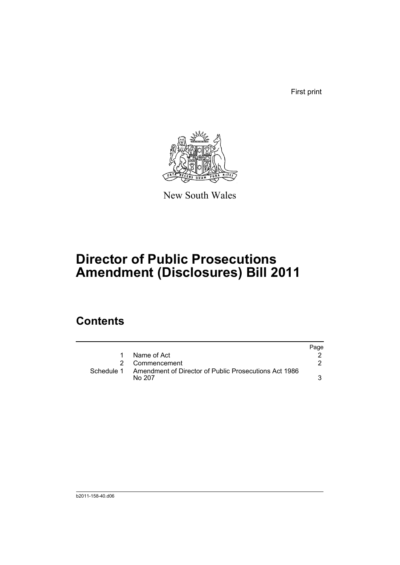First print



New South Wales

# **Director of Public Prosecutions Amendment (Disclosures) Bill 2011**

## **Contents**

|            |                                                                 | Page |
|------------|-----------------------------------------------------------------|------|
| 1          | Name of Act                                                     |      |
|            | 2 Commencement                                                  |      |
| Schedule 1 | Amendment of Director of Public Prosecutions Act 1986<br>No 207 |      |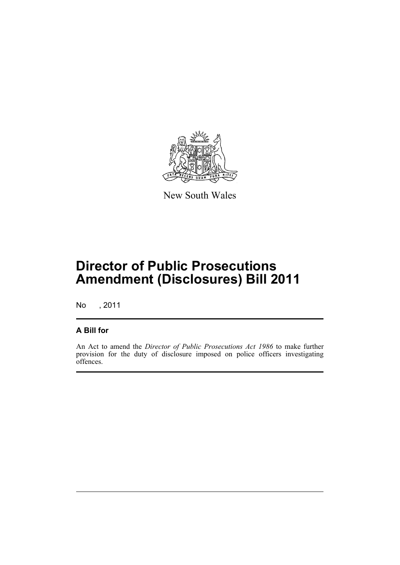

New South Wales

## **Director of Public Prosecutions Amendment (Disclosures) Bill 2011**

No , 2011

### **A Bill for**

An Act to amend the *Director of Public Prosecutions Act 1986* to make further provision for the duty of disclosure imposed on police officers investigating offences.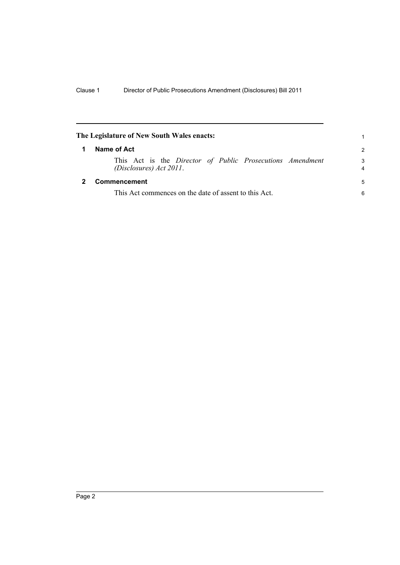<span id="page-5-1"></span><span id="page-5-0"></span>

| The Legislature of New South Wales enacts: |                                                                                        | 1             |
|--------------------------------------------|----------------------------------------------------------------------------------------|---------------|
|                                            | Name of Act                                                                            | $\mathcal{P}$ |
|                                            | This Act is the Director of Public Prosecutions Amendment<br>$(Disclosures)$ Act 2011. | 3<br>4        |
|                                            | Commencement                                                                           | 5             |
|                                            | This Act commences on the date of assent to this Act.                                  | 6             |